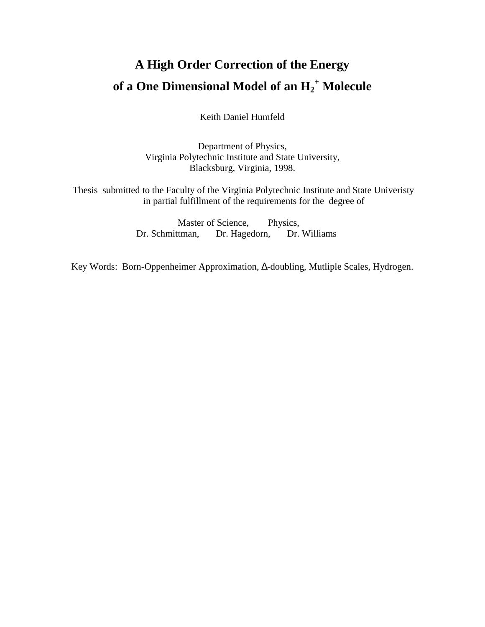# **A High Order Correction of the Energy of a One Dimensional Model of an H2 + Molecule**

Keith Daniel Humfeld

Department of Physics, Virginia Polytechnic Institute and State University, Blacksburg, Virginia, 1998.

Thesis submitted to the Faculty of the Virginia Polytechnic Institute and State Univeristy in partial fulfillment of the requirements for the degree of

> Master of Science, Physics, Dr. Schmittman, Dr. Hagedorn, Dr. Williams

Key Words: Born-Oppenheimer Approximation, ∆-doubling, Mutliple Scales, Hydrogen.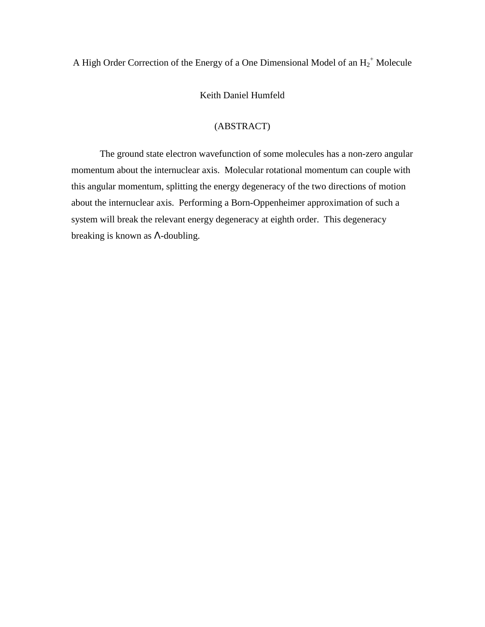## A High Order Correction of the Energy of a One Dimensional Model of an  $H_2^+$  Molecule

## Keith Daniel Humfeld

## (ABSTRACT)

The ground state electron wavefunction of some molecules has a non-zero angular momentum about the internuclear axis. Molecular rotational momentum can couple with this angular momentum, splitting the energy degeneracy of the two directions of motion about the internuclear axis. Performing a Born-Oppenheimer approximation of such a system will break the relevant energy degeneracy at eighth order. This degeneracy breaking is known as Λ-doubling.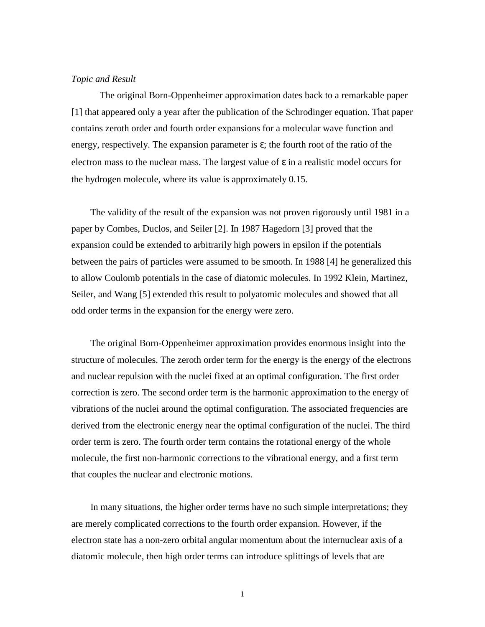## *Topic and Result*

The original Born-Oppenheimer approximation dates back to a remarkable paper [1] that appeared only a year after the publication of the Schrodinger equation. That paper contains zeroth order and fourth order expansions for a molecular wave function and energy, respectively. The expansion parameter is  $\varepsilon$ ; the fourth root of the ratio of the electron mass to the nuclear mass. The largest value of  $\varepsilon$  in a realistic model occurs for the hydrogen molecule, where its value is approximately 0.15.

 The validity of the result of the expansion was not proven rigorously until 1981 in a paper by Combes, Duclos, and Seiler [2]. In 1987 Hagedorn [3] proved that the expansion could be extended to arbitrarily high powers in epsilon if the potentials between the pairs of particles were assumed to be smooth. In 1988 [4] he generalized this to allow Coulomb potentials in the case of diatomic molecules. In 1992 Klein, Martinez, Seiler, and Wang [5] extended this result to polyatomic molecules and showed that all odd order terms in the expansion for the energy were zero.

 The original Born-Oppenheimer approximation provides enormous insight into the structure of molecules. The zeroth order term for the energy is the energy of the electrons and nuclear repulsion with the nuclei fixed at an optimal configuration. The first order correction is zero. The second order term is the harmonic approximation to the energy of vibrations of the nuclei around the optimal configuration. The associated frequencies are derived from the electronic energy near the optimal configuration of the nuclei. The third order term is zero. The fourth order term contains the rotational energy of the whole molecule, the first non-harmonic corrections to the vibrational energy, and a first term that couples the nuclear and electronic motions.

 In many situations, the higher order terms have no such simple interpretations; they are merely complicated corrections to the fourth order expansion. However, if the electron state has a non-zero orbital angular momentum about the internuclear axis of a diatomic molecule, then high order terms can introduce splittings of levels that are

1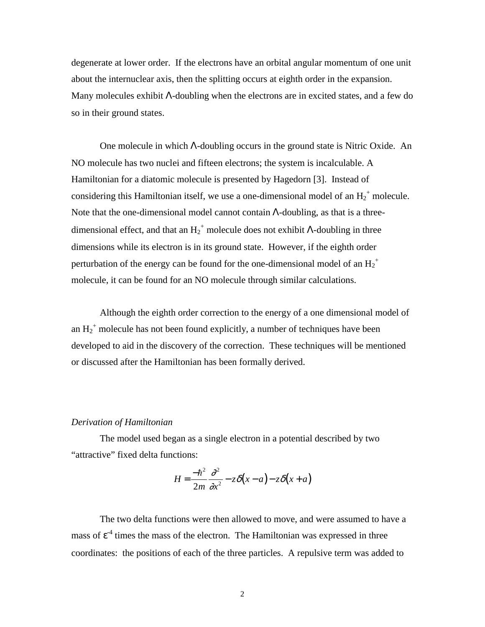degenerate at lower order. If the electrons have an orbital angular momentum of one unit about the internuclear axis, then the splitting occurs at eighth order in the expansion. Many molecules exhibit Λ-doubling when the electrons are in excited states, and a few do so in their ground states.

One molecule in which Λ-doubling occurs in the ground state is Nitric Oxide. An NO molecule has two nuclei and fifteen electrons; the system is incalculable. A Hamiltonian for a diatomic molecule is presented by Hagedorn [3]. Instead of considering this Hamiltonian itself, we use a one-dimensional model of an  $H_2^+$  molecule. Note that the one-dimensional model cannot contain Λ-doubling, as that is a threedimensional effect, and that an  $H_2^+$  molecule does not exhibit  $\Lambda$ -doubling in three dimensions while its electron is in its ground state. However, if the eighth order perturbation of the energy can be found for the one-dimensional model of an  $\text{H}_{2}^{\text{+}}$ molecule, it can be found for an NO molecule through similar calculations.

Although the eighth order correction to the energy of a one dimensional model of an  $H_2^+$  molecule has not been found explicitly, a number of techniques have been developed to aid in the discovery of the correction. These techniques will be mentioned or discussed after the Hamiltonian has been formally derived.

### *Derivation of Hamiltonian*

The model used began as a single electron in a potential described by two "attractive" fixed delta functions:

$$
H = \frac{-\hbar^2}{2m} \frac{\partial^2}{\partial x^2} - z\delta(x-a) - z\delta(x+a)
$$

The two delta functions were then allowed to move, and were assumed to have a mass of  $\varepsilon^4$  times the mass of the electron. The Hamiltonian was expressed in three coordinates: the positions of each of the three particles. A repulsive term was added to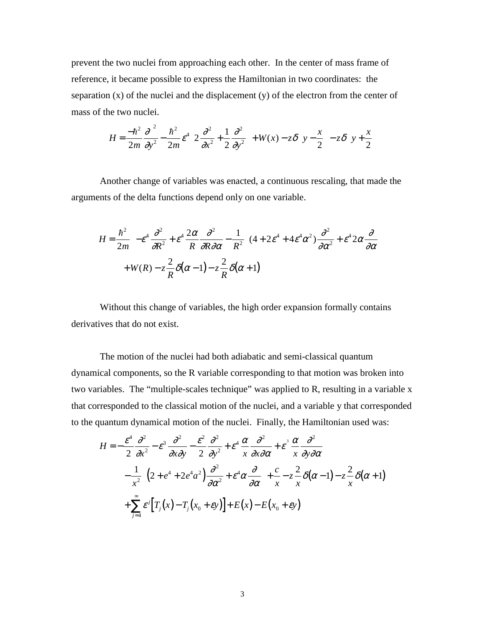prevent the two nuclei from approaching each other. In the center of mass frame of reference, it became possible to express the Hamiltonian in two coordinates: the separation (x) of the nuclei and the displacement (y) of the electron from the center of mass of the two nuclei.

$$
H = \frac{-\hbar^2}{2m} \frac{\partial^2}{\partial y^2} - \frac{\hbar^2}{2m} \varepsilon^4 \left[ 2 \frac{\partial^2}{\partial x^2} + \frac{1}{2} \frac{\partial^2}{\partial y^2} \right] + W(x) - z \delta \left( y - \frac{x}{2} \right) - z \delta \left( y + \frac{x}{2} \right)
$$

Another change of variables was enacted, a continuous rescaling, that made the arguments of the delta functions depend only on one variable.

$$
H = \frac{\hbar^2}{2m} \left\{ -\varepsilon^4 \frac{\partial^2}{\partial R^2} + \varepsilon^4 \frac{2\alpha}{R} \frac{\partial^2}{\partial R \partial \alpha} - \frac{1}{R^2} \left[ (4 + 2\varepsilon^4 + 4\varepsilon^4 \alpha^2) \frac{\partial^2}{\partial \alpha^2} + \varepsilon^4 2\alpha \frac{\partial}{\partial \alpha} \right] \right\}
$$
  
+  $W(R) - z \frac{2}{R} \delta(\alpha - 1) - z \frac{2}{R} \delta(\alpha + 1)$ 

Without this change of variables, the high order expansion formally contains derivatives that do not exist.

The motion of the nuclei had both adiabatic and semi-classical quantum dynamical components, so the R variable corresponding to that motion was broken into two variables. The "multiple-scales technique" was applied to R, resulting in a variable x that corresponded to the classical motion of the nuclei, and a variable y that corresponded to the quantum dynamical motion of the nuclei. Finally, the Hamiltonian used was:

$$
H = -\frac{\varepsilon^4}{2} \frac{\partial^2}{\partial x^2} - \varepsilon^3 \frac{\partial^2}{\partial x \partial y} - \frac{\varepsilon^2}{2} \frac{\partial^2}{\partial y^2} + \varepsilon^4 \frac{\alpha}{x} \frac{\partial^2}{\partial x \partial \alpha} + \varepsilon^3 \frac{\alpha}{x} \frac{\partial^2}{\partial y \partial \alpha}
$$
  

$$
- \frac{1}{x^2} \Biggl[ \Bigl( 2 + e^4 + 2e^4 a^2 \Bigr) \frac{\partial^2}{\partial \alpha^2} + \varepsilon^4 \alpha \frac{\partial}{\partial \alpha} \Biggr] + \frac{c}{x} - z \frac{2}{x} \delta(\alpha - 1) - z \frac{2}{x} \delta(\alpha + 1)
$$
  

$$
+ \sum_{j=4}^{\infty} \varepsilon^j \Bigl[ T_j(x) - T_j(x_0 + \varepsilon y) \Bigr] + E(x) - E(x_0 + \varepsilon y)
$$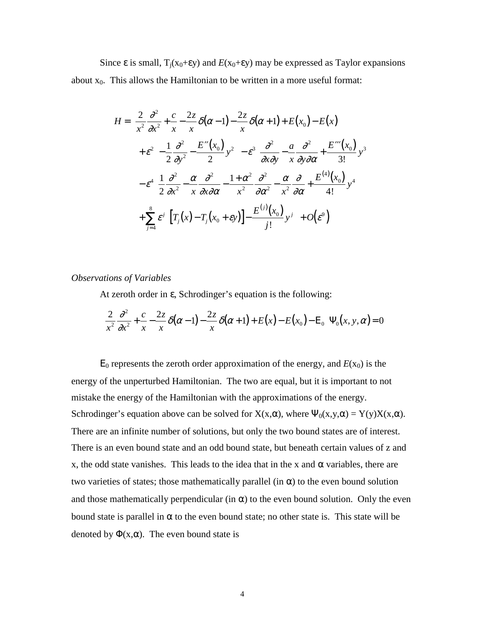Since  $\varepsilon$  is small,  $T_i(x_0+\varepsilon y)$  and  $E(x_0+\varepsilon y)$  may be expressed as Taylor expansions about  $x_0$ . This allows the Hamiltonian to be written in a more useful format:

$$
H = \left[\frac{2}{x^2}\frac{\partial^2}{\partial x^2} + \frac{c}{x} - \frac{2z}{x}\delta(\alpha - 1) - \frac{2z}{x}\delta(\alpha + 1) + E(x_0) - E(x)\right]
$$
  
+  $\varepsilon^2 \left[-\frac{1}{2}\frac{\partial^2}{\partial y^2} - \frac{E''(x_0)}{2}y^2\right] - \varepsilon^3 \left[\frac{\partial^2}{\partial x \partial y} - \frac{a}{x}\frac{\partial^2}{\partial y \partial \alpha} + \frac{E'''(x_0)}{3!}y^3\right]$   
-  $\varepsilon^4 \left[\frac{1}{2}\frac{\partial^2}{\partial x^2} - \frac{\alpha}{x}\frac{\partial^2}{\partial x \partial \alpha} - \frac{1 + \alpha^2}{x^2}\frac{\partial^2}{\partial \alpha^2} - \frac{\alpha}{x^2}\frac{\partial}{\partial \alpha} + \frac{E^{(4)}(x_0)}{4!}y^4\right]$   
+  $\sum_{j=4}^8 \varepsilon^j \left[\left[T_j(x) - T_j(x_0 + \varepsilon y)\right] - \frac{E^{(j)}(x_0)}{j!}y^j\right] + O(\varepsilon^9)$ 

### *Observations of Variables*

At zeroth order in ε, Schrodinger's equation is the following:

$$
\left[\frac{2}{x^2}\frac{\partial^2}{\partial x^2} + \frac{c}{x} - \frac{2z}{x}\delta(\alpha - 1) - \frac{2z}{x}\delta(\alpha + 1) + E(x) - E(x_0) - E_0\right] \Psi_0(x, y, \alpha) = 0
$$

 $E_0$  represents the zeroth order approximation of the energy, and  $E(x_0)$  is the energy of the unperturbed Hamiltonian. The two are equal, but it is important to not mistake the energy of the Hamiltonian with the approximations of the energy. Schrodinger's equation above can be solved for  $X(x, \alpha)$ , where  $\Psi_0(x, y, \alpha) = Y(y)X(x, \alpha)$ . There are an infinite number of solutions, but only the two bound states are of interest. There is an even bound state and an odd bound state, but beneath certain values of z and x, the odd state vanishes. This leads to the idea that in the x and  $\alpha$  variables, there are two varieties of states; those mathematically parallel (in  $\alpha$ ) to the even bound solution and those mathematically perpendicular (in  $\alpha$ ) to the even bound solution. Only the even bound state is parallel in  $\alpha$  to the even bound state; no other state is. This state will be denoted by  $\Phi(x, \alpha)$ . The even bound state is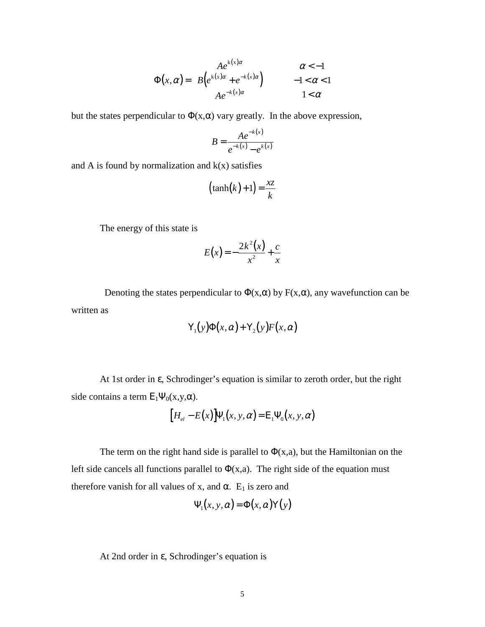$$
\Phi(x,\alpha) = \begin{cases}\nA e^{k(x)\alpha} & \alpha < -1 \\
B\left(e^{k(x)\alpha} + e^{-k(x)\alpha}\right) & -1 < \alpha < 1 \\
A e^{-k(x)\alpha} & 1 < \alpha\n\end{cases}
$$

but the states perpendicular to  $\Phi(x, \alpha)$  vary greatly. In the above expression,

$$
B = \frac{Ae^{-k(x)}}{e^{-k(x)} - e^{-k(x)}}
$$

and A is found by normalization and  $k(x)$  satisfies

$$
(\tanh(k)+1) = \frac{xz}{k}
$$

The energy of this state is

$$
E(x) = -\frac{2k^2(x)}{x^2} + \frac{c}{x}
$$

Denoting the states perpendicular to  $\Phi(x,\alpha)$  by  $F(x,\alpha)$ , any wavefunction can be written as

$$
Y_1(y)\Phi(x,\alpha)+Y_2(y)F(x,\alpha)
$$

At 1st order in ε, Schrodinger's equation is similar to zeroth order, but the right side contains a term  $E_1\Psi_0(x,y,\alpha)$ .

$$
[H_{el} - E(x)]\Psi_1(x, y, \alpha) = E_1 \Psi_0(x, y, \alpha)
$$

The term on the right hand side is parallel to  $\Phi(x,a)$ , but the Hamiltonian on the left side cancels all functions parallel to  $\Phi(x,a)$ . The right side of the equation must therefore vanish for all values of x, and  $\alpha$ . E<sub>1</sub> is zero and

$$
\Psi_1(x, y, \alpha) = \Phi(x, \alpha) Y(y)
$$

At 2nd order in ε, Schrodinger's equation is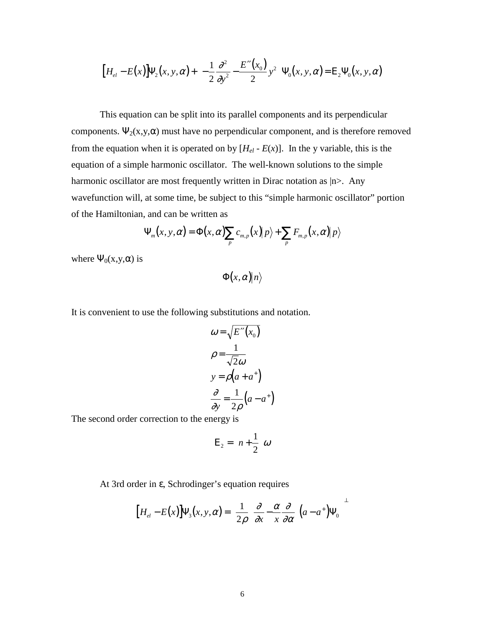$$
\left[H_{el} - E(x)\right] \Psi_2(x, y, \alpha) + \left[-\frac{1}{2} \frac{\partial^2}{\partial y^2} - \frac{E''(x_0)}{2} y^2\right] \Psi_0(x, y, \alpha) = E_2 \Psi_0(x, y, \alpha)
$$

This equation can be split into its parallel components and its perpendicular components.  $\Psi_2(x,y,\alpha)$  must have no perpendicular component, and is therefore removed from the equation when it is operated on by  $[H_{el} - E(x)]$ . In the y variable, this is the equation of a simple harmonic oscillator. The well-known solutions to the simple harmonic oscillator are most frequently written in Dirac notation as  $|n\rangle$ . Any wavefunction will, at some time, be subject to this "simple harmonic oscillator" portion of the Hamiltonian, and can be written as

$$
\Psi_m(x, y, \alpha) = \Phi(x, \alpha) \sum_p c_{m,p}(x) |p\rangle + \sum_p F_{m,p}(x, \alpha) |p\rangle
$$

where  $\Psi_0(x,y,\alpha)$  is

 $\Phi(x, \alpha) |n\rangle$ 

It is convenient to use the following substitutions and notation.

$$
\omega = \sqrt{E''(x_0)}
$$
  
\n
$$
\rho = \frac{1}{\sqrt{2}\omega}
$$
  
\n
$$
y = \rho(a + a^+)
$$
  
\n
$$
\frac{\partial}{\partial y} = \frac{1}{2\rho}(a - a^+)
$$

The second order correction to the energy is

$$
E_2 = \left(n + \frac{1}{2}\right)\omega
$$

At 3rd order in ε, Schrodinger's equation requires

$$
\left[H_{el} - E(x)\right] \Psi_3(x, y, \alpha) = \left[\frac{1}{2\rho} \left(\frac{\partial}{\partial x} - \frac{\alpha}{x} \frac{\partial}{\partial \alpha}\right) (a - a^+) \Psi_0\right]^{\perp}
$$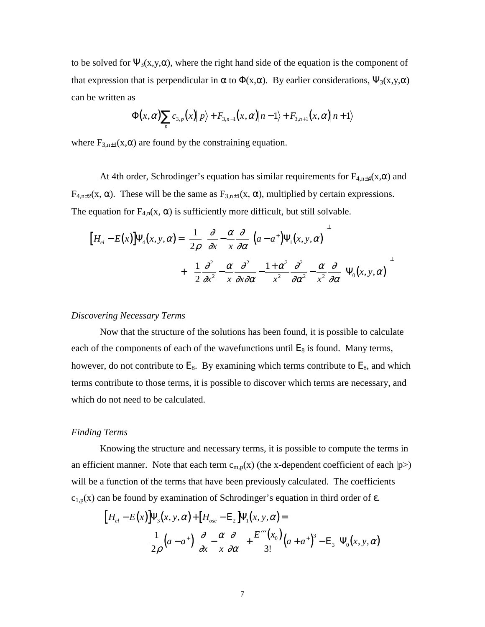to be solved for  $\Psi_3(x,y,\alpha)$ , where the right hand side of the equation is the component of that expression that is perpendicular in  $\alpha$  to  $\Phi(x,\alpha)$ . By earlier considerations,  $\Psi_3(x,y,\alpha)$ can be written as

$$
\Phi(x,\alpha)\sum_{p}c_{3,p}(x)|p\rangle + F_{3,n-1}(x,\alpha)|n-1\rangle + F_{3,n+1}(x,\alpha)|n+1\rangle
$$

where  $F_{3,n\pm 1}(x,\alpha)$  are found by the constraining equation.

At 4th order, Schrodinger's equation has similar requirements for  $F_{4,n\pm 4}(x,\alpha)$  and  $F_{4,n\pm2}(x, \alpha)$ . These will be the same as  $F_{3,n\pm1}(x, \alpha)$ , multiplied by certain expressions. The equation for  $F_{4,n}(x, \alpha)$  is sufficiently more difficult, but still solvable.

$$
\left[H_{el} - E(x)\right] \Psi_{4}(x, y, \alpha) = \left[\frac{1}{2\rho} \left(\frac{\partial}{\partial x} - \frac{\alpha}{x} \frac{\partial}{\partial \alpha}\right) \left(a - a^{+}\right) \Psi_{1}(x, y, \alpha)\right]^{2} + \left[\left(\frac{1}{2} \frac{\partial^{2}}{\partial x^{2}} - \frac{\alpha}{x} \frac{\partial^{2}}{\partial x \partial \alpha} - \frac{1 + \alpha^{2}}{x^{2}} \frac{\partial^{2}}{\partial \alpha^{2}} - \frac{\alpha}{x^{2}} \frac{\partial}{\partial \alpha}\right) \Psi_{0}(x, y, \alpha)\right]^{2}
$$

## *Discovering Necessary Terms*

Now that the structure of the solutions has been found, it is possible to calculate each of the components of each of the wavefunctions until  $E_8$  is found. Many terms, however, do not contribute to  $E_8$ . By examining which terms contribute to  $E_8$ , and which terms contribute to those terms, it is possible to discover which terms are necessary, and which do not need to be calculated.

### *Finding Terms*

Knowing the structure and necessary terms, it is possible to compute the terms in an efficient manner. Note that each term  $c_{m,p}(x)$  (the x-dependent coefficient of each  $|p\rangle$ ) will be a function of the terms that have been previously calculated. The coefficients  $c_{1,p}(x)$  can be found by examination of Schrodinger's equation in third order of  $\varepsilon$ .

$$
\left[H_{el}-E(x)\right]\Psi_{3}(x,y,\alpha)+\left[H_{osc}-E_{2}\right]\Psi_{1}(x,y,\alpha)=\left[\frac{1}{2\rho}\left(a-a^{+}\right)\left(\frac{\partial}{\partial x}-\frac{\alpha}{x}\frac{\partial}{\partial \alpha}\right)+\frac{E'''(x_{0})}{3!}\left(a+a^{+}\right)^{3}-E_{3}\right]\Psi_{0}(x,y,\alpha)
$$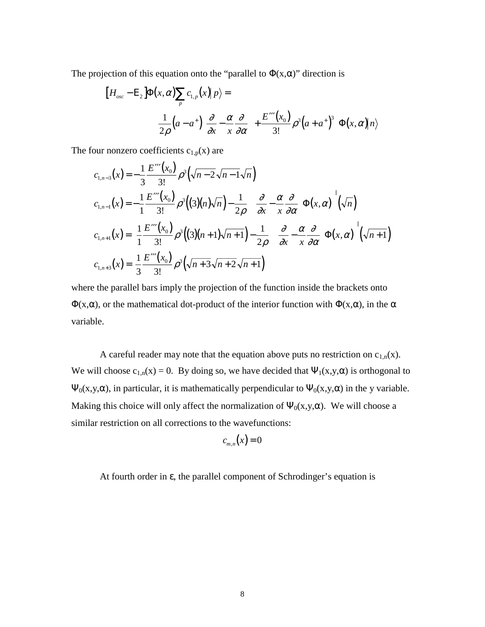The projection of this equation onto the "parallel to  $\Phi(x,\alpha)$ " direction is

$$
\left[H_{osc} - \mathbf{E}_{2}\right] \Phi(x, \alpha) \sum_{p} c_{1,p}(x) \mid p \rangle =
$$
\n
$$
\left[\frac{1}{2\rho} \left(a - a^{+}\left(\frac{\partial}{\partial x} - \frac{\alpha}{x} \frac{\partial}{\partial \alpha}\right) + \frac{E'''(x_{0})}{3!} \rho^{3}\left(a + a^{+}\right)^{3}\right] \Phi(x, \alpha) \mid n \rangle\right]
$$

The four nonzero coefficients  $c_{1,p}(x)$  are

$$
c_{1,n-3}(x) = -\frac{1}{3} \frac{E'''(x_0)}{3!} \rho^3(\sqrt{n-2\sqrt{n-1}\sqrt{n}})
$$
  
\n
$$
c_{1,n-1}(x) = -\frac{1}{1} \frac{E'''(x_0)}{3!} \rho^3((3)(n)\sqrt{n}) - \frac{1}{2\rho} \Biggl[ \Bigl( \frac{\partial}{\partial x} - \frac{\alpha}{x} \frac{\partial}{\partial \alpha} \Bigr) \Phi(x, \alpha) \Biggr] (\sqrt{n})
$$
  
\n
$$
c_{1,n+1}(x) = \frac{1}{1} \frac{E'''(x_0)}{3!} \rho^3((3)(n+1)\sqrt{n+1}) - \frac{1}{2\rho} \Biggl[ \Bigl( \frac{\partial}{\partial x} - \frac{\alpha}{x} \frac{\partial}{\partial \alpha} \Bigr) \Phi(x, \alpha) \Biggr] (\sqrt{n+1})
$$
  
\n
$$
c_{1,n+3}(x) = \frac{1}{3} \frac{E'''(x_0)}{3!} \rho^3(\sqrt{n+3}\sqrt{n+2}\sqrt{n+1})
$$

where the parallel bars imply the projection of the function inside the brackets onto  $\Phi(x,\alpha)$ , or the mathematical dot-product of the interior function with  $\Phi(x,\alpha)$ , in the  $\alpha$ variable.

A careful reader may note that the equation above puts no restriction on  $c_{1,n}(x)$ . We will choose  $c_{1,n}(x) = 0$ . By doing so, we have decided that  $\Psi_1(x,y,\alpha)$  is orthogonal to  $\Psi_0(x,y,\alpha)$ , in particular, it is mathematically perpendicular to  $\Psi_0(x,y,\alpha)$  in the y variable. Making this choice will only affect the normalization of  $\Psi_0(x,y,\alpha)$ . We will choose a similar restriction on all corrections to the wavefunctions:

$$
c_{m,n}(x) = 0
$$

At fourth order in ε, the parallel component of Schrodinger's equation is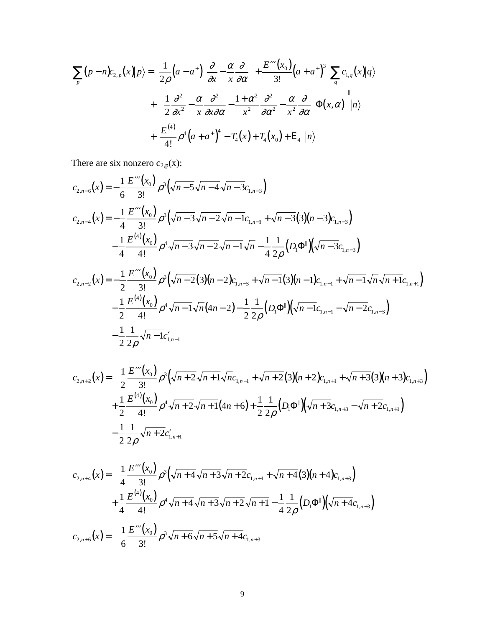$$
\sum_{p} (p - n)c_{2,p}(x) | p \rangle = \left[ \frac{1}{2\rho} \left( a - a^{+} \right) \left( \frac{\partial}{\partial x} - \frac{\alpha}{x} \frac{\partial}{\partial \alpha} \right) + \frac{E'''(x_0)}{3!} \left( a + a^{+} \right)^{3} \right] \sum_{q} c_{1,q}(x) | q \rangle
$$
  
+ 
$$
\left[ \left( \frac{1}{2} \frac{\partial^{2}}{\partial x^{2}} - \frac{\alpha}{x} \frac{\partial^{2}}{\partial x \partial \alpha} - \frac{1 + \alpha^{2}}{x^{2}} \frac{\partial^{2}}{\partial \alpha^{2}} - \frac{\alpha}{x^{2}} \frac{\partial}{\partial \alpha} \right) \Phi(x, \alpha) \right] | n \rangle
$$
  
+ 
$$
\left[ \frac{E^{(4)}}{4!} \rho^{4} \left( a + a^{+} \right)^{4} - T_{4}(x) + T_{4}(x_{0}) + E_{4} \right] | n \rangle
$$

There are six nonzero  $c_{2,p}(x)$ :

2

2

ρ

$$
c_{2,n-6}(x) = -\frac{1}{6} \frac{E'''(x_0)}{3!} \rho^3(\sqrt{n-5}\sqrt{n-4}\sqrt{n-3}c_{1,n-3})
$$
  
\n
$$
c_{2,n-4}(x) = -\frac{1}{4} \frac{E'''(x_0)}{3!} \rho^3(\sqrt{n-3}\sqrt{n-2}\sqrt{n-1}c_{1,n-1} + \sqrt{n-3}(3)(n-3)c_{1,n-3})
$$
  
\n
$$
-\frac{1}{4} \frac{E^{(4)}(x_0)}{4!} \rho^4\sqrt{n-3}\sqrt{n-2}\sqrt{n-1}\sqrt{n-4}\frac{1}{4} \frac{1}{2\rho} (D_1\Phi^{||})(\sqrt{n-3}c_{1,n-3})
$$
  
\n
$$
c_{2,n-2}(x) = -\frac{1}{2} \frac{E'''(x_0)}{3!} \rho^3(\sqrt{n-2}(3)(n-2)c_{1,n-3} + \sqrt{n-1}(3)(n-1)c_{1,n-1} + \sqrt{n-1}\sqrt{n}\sqrt{n+1}c_{1,n+1})
$$
  
\n
$$
-\frac{1}{2} \frac{E^{(4)}(x_0)}{4!} \rho^4\sqrt{n-1}\sqrt{n}(4n-2) - \frac{1}{2} \frac{1}{2\rho}(D_1\Phi^{||})(\sqrt{n-1}c_{1,n-1} - \sqrt{n-2}c_{1,n-3})
$$
  
\n
$$
-\frac{1}{2} \frac{1}{2} \frac{1}{2} \sqrt{n-1}c'_{1,n-1}
$$

$$
c_{2,n+2}(x) = \frac{1}{2} \frac{E''''(x_0)}{3!} \rho^3 \left( \sqrt{n+2} \sqrt{n+1} \sqrt{n} c_{1,n-1} + \sqrt{n+2} (3)(n+2) c_{1,n+1} + \sqrt{n+3} (3)(n+3) c_{1,n+3} \right) + \frac{1}{2} \frac{E^{(4)}(x_0)}{4!} \rho^4 \sqrt{n+2} \sqrt{n+1} (4n+6) + \frac{1}{2} \frac{1}{2\rho} (D_1 \Phi^{||}) \left( \sqrt{n+3} c_{1,n+3} - \sqrt{n+2} c_{1,n+1} \right) - \frac{1}{2} \frac{1}{2\rho} \sqrt{n+2} c'_{1,n+1}
$$

$$
c_{2,n+4}(x) = \frac{1}{4} \frac{E'''(x_0)}{3!} \rho^3 \left( \sqrt{n+4} \sqrt{n+3} \sqrt{n+2} c_{1,n+1} + \sqrt{n+4} (3)(n+4) c_{1,n+3} \right)
$$
  
+ 
$$
\frac{1}{4} \frac{E^{(4)}(x_0)}{4!} \rho^4 \sqrt{n+4} \sqrt{n+3} \sqrt{n+2} \sqrt{n+1} - \frac{1}{4} \frac{1}{2\rho} (D_1 \Phi^{||}) \left( \sqrt{n+4} c_{1,n+3} \right)
$$
  

$$
c_{2,n+6}(x) = \frac{1}{6} \frac{E'''(x_0)}{3!} \rho^3 \sqrt{n+6} \sqrt{n+5} \sqrt{n+4} c_{1,n+3}
$$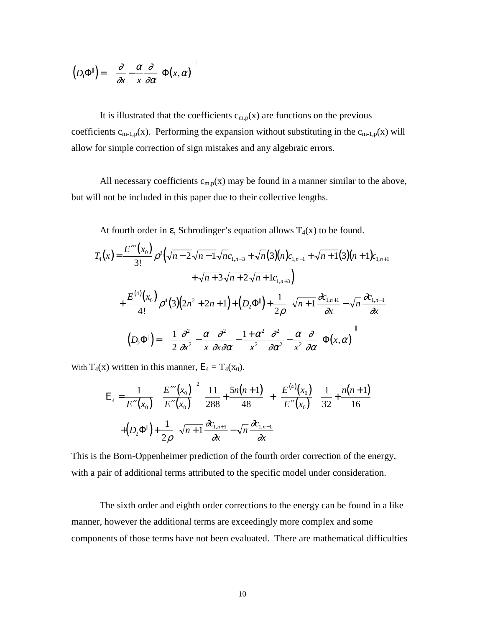$$
(D_1\Phi^{\parallel}) = \left[ \left( \frac{\partial}{\partial x} - \frac{\alpha}{x} \frac{\partial}{\partial \alpha} \right) \Phi(x, \alpha) \right]^{\parallel}
$$

It is illustrated that the coefficients  $c_{m,p}(x)$  are functions on the previous coefficients  $c_{m-1,p}(x)$ . Performing the expansion without substituting in the  $c_{m-1,p}(x)$  will allow for simple correction of sign mistakes and any algebraic errors.

All necessary coefficients  $c_{m,p}(x)$  may be found in a manner similar to the above, but will not be included in this paper due to their collective lengths.

At fourth order in  $\varepsilon$ , Schrodinger's equation allows  $T_4(x)$  to be found.

$$
T_{4}(x) = \frac{E'''(x_{0})}{3!} \rho^{3} \left( \sqrt{n-2} \sqrt{n-1} \sqrt{n} c_{1,n-3} + \sqrt{n} (3)(n) c_{1,n-1} + \sqrt{n+1} (3)(n+1) c_{1,n+1} + \sqrt{n+3} \sqrt{n+2} \sqrt{n+1} c_{1,n+3} \right)
$$
  
+ 
$$
\frac{E^{(4)}(x_{0})}{4!} \rho^{4} (3)(2n^{2} + 2n + 1) + (D_{2} \Phi^{\parallel}) + \frac{1}{2\rho} \left( \sqrt{n+1} \frac{\partial c_{1,n+1}}{\partial x} - \sqrt{n} \frac{\partial c_{1,n-1}}{\partial x} \right)
$$
  

$$
(D_{2} \Phi^{\parallel}) = \left[ \left( \frac{1}{2} \frac{\partial^{2}}{\partial x^{2}} - \frac{\alpha}{x} \frac{\partial^{2}}{\partial x \partial \alpha} - \frac{1+\alpha^{2}}{x^{2}} \frac{\partial^{2}}{\partial \alpha^{2}} - \frac{\alpha}{x^{2}} \frac{\partial}{\partial \alpha} \right) \Phi(x, \alpha) \right]^{\parallel}
$$

With  $T_4(x)$  written in this manner,  $E_4 = T_4(x_0)$ .

$$
E_4 = \frac{1}{E''(x_0)} \left[ \left( \frac{E'''(x_0)}{E''(x_0)} \right)^2 \left( \frac{11}{288} + \frac{5n(n+1)}{48} \right) + \left( \frac{E^{(4)}(x_0)}{E''(x_0)} \right) \left( \frac{1}{32} + \frac{n(n+1)}{16} \right) \right]
$$
  
+  $(D_2 \Phi^{\parallel}) + \frac{1}{2\rho} \left( \sqrt{n+1} \frac{\partial c_{1,n+1}}{\partial x} - \sqrt{n} \frac{\partial c_{1,n-1}}{\partial x} \right)$ 

This is the Born-Oppenheimer prediction of the fourth order correction of the energy, with a pair of additional terms attributed to the specific model under consideration.

The sixth order and eighth order corrections to the energy can be found in a like manner, however the additional terms are exceedingly more complex and some components of those terms have not been evaluated. There are mathematical difficulties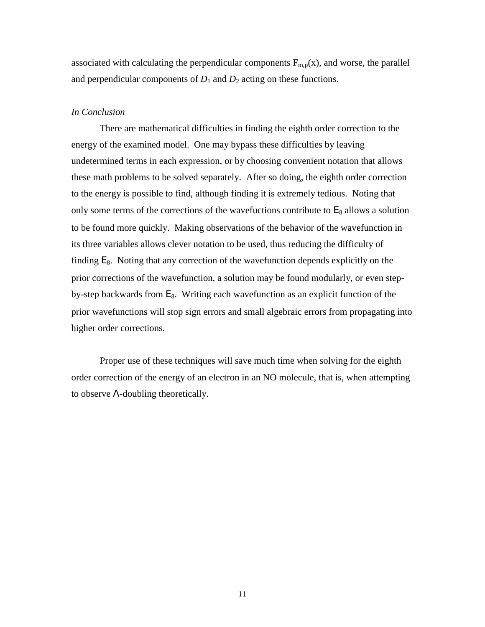associated with calculating the perpendicular components  $F_{m,p}(x)$ , and worse, the parallel and perpendicular components of  $D_1$  and  $D_2$  acting on these functions.

#### *In Conclusion*

There are mathematical difficulties in finding the eighth order correction to the energy of the examined model. One may bypass these difficulties by leaving undetermined terms in each expression, or by choosing convenient notation that allows these math problems to be solved separately. After so doing, the eighth order correction to the energy is possible to find, although finding it is extremely tedious. Noting that only some terms of the corrections of the wavefuctions contribute to  $E_8$  allows a solution to be found more quickly. Making observations of the behavior of the wavefunction in its three variables allows clever notation to be used, thus reducing the difficulty of finding  $E_8$ . Noting that any correction of the wavefunction depends explicitly on the prior corrections of the wavefunction, a solution may be found modularly, or even stepby-step backwards from  $E_8$ . Writing each wavefunction as an explicit function of the prior wavefunctions will stop sign errors and small algebraic errors from propagating into higher order corrections.

Proper use of these techniques will save much time when solving for the eighth order correction of the energy of an electron in an NO molecule, that is, when attempting to observe Λ-doubling theoretically.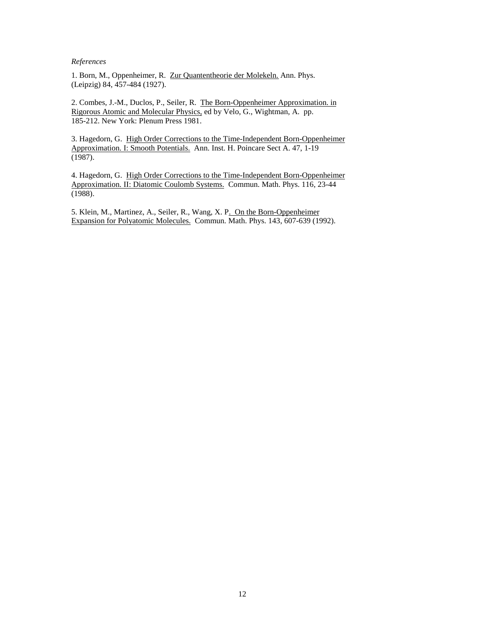#### *References*

1. Born, M., Oppenheimer, R. Zur Quantentheorie der Molekeln. Ann. Phys. (Leipzig) 84, 457-484 (1927).

2. Combes, J.-M., Duclos, P., Seiler, R. The Born-Oppenheimer Approximation. in Rigorous Atomic and Molecular Physics, ed by Velo, G., Wightman, A. pp. 185-212. New York: Plenum Press 1981.

3. Hagedorn, G. High Order Corrections to the Time-Independent Born-Oppenheimer Approximation. I: Smooth Potentials. Ann. Inst. H. Poincare Sect A. 47, 1-19 (1987).

4. Hagedorn, G. High Order Corrections to the Time-Independent Born-Oppenheimer Approximation. II: Diatomic Coulomb Systems. Commun. Math. Phys. 116, 23-44 (1988).

5. Klein, M., Martinez, A., Seiler, R., Wang, X. P. On the Born-Oppenheimer Expansion for Polyatomic Molecules. Commun. Math. Phys. 143, 607-639 (1992).